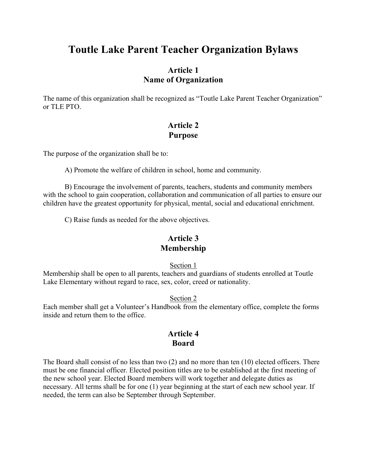# **Toutle Lake Parent Teacher Organization Bylaws**

# **Article 1 Name of Organization**

The name of this organization shall be recognized as "Toutle Lake Parent Teacher Organization" or TLE PTO.

# **Article 2 Purpose**

The purpose of the organization shall be to:

A) Promote the welfare of children in school, home and community.

B) Encourage the involvement of parents, teachers, students and community members with the school to gain cooperation, collaboration and communication of all parties to ensure our children have the greatest opportunity for physical, mental, social and educational enrichment.

C) Raise funds as needed for the above objectives.

### **Article 3 Membership**

Section 1

Membership shall be open to all parents, teachers and guardians of students enrolled at Toutle Lake Elementary without regard to race, sex, color, creed or nationality.

### Section 2

Each member shall get a Volunteer's Handbook from the elementary office, complete the forms inside and return them to the office.

### **Article 4 Board**

The Board shall consist of no less than two (2) and no more than ten (10) elected officers. There must be one financial officer. Elected position titles are to be established at the first meeting of the new school year. Elected Board members will work together and delegate duties as necessary. All terms shall be for one (1) year beginning at the start of each new school year. If needed, the term can also be September through September.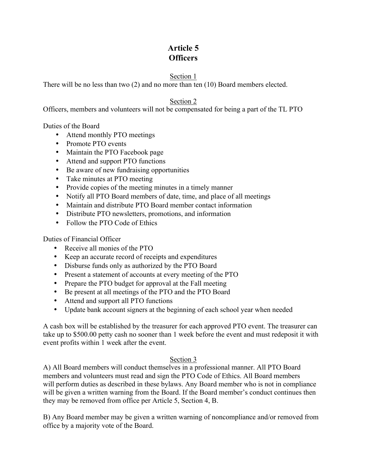# **Article 5 Officers**

### Section 1

There will be no less than two (2) and no more than ten (10) Board members elected.

### Section 2

Officers, members and volunteers will not be compensated for being a part of the TL PTO

Duties of the Board

- Attend monthly PTO meetings
- Promote PTO events
- Maintain the PTO Facebook page
- Attend and support PTO functions
- Be aware of new fundraising opportunities
- Take minutes at PTO meeting
- Provide copies of the meeting minutes in a timely manner
- Notify all PTO Board members of date, time, and place of all meetings
- Maintain and distribute PTO Board member contact information
- Distribute PTO newsletters, promotions, and information
- Follow the PTO Code of Ethics

Duties of Financial Officer

- Receive all monies of the PTO
- Keep an accurate record of receipts and expenditures
- Disburse funds only as authorized by the PTO Board
- Present a statement of accounts at every meeting of the PTO
- Prepare the PTO budget for approval at the Fall meeting
- Be present at all meetings of the PTO and the PTO Board
- Attend and support all PTO functions
- Update bank account signers at the beginning of each school year when needed

A cash box will be established by the treasurer for each approved PTO event. The treasurer can take up to \$500.00 petty cash no sooner than 1 week before the event and must redeposit it with event profits within 1 week after the event.

### Section 3

A) All Board members will conduct themselves in a professional manner. All PTO Board members and volunteers must read and sign the PTO Code of Ethics. All Board members will perform duties as described in these bylaws. Any Board member who is not in compliance will be given a written warning from the Board. If the Board member's conduct continues then they may be removed from office per Article 5, Section 4, B.

B) Any Board member may be given a written warning of noncompliance and/or removed from office by a majority vote of the Board.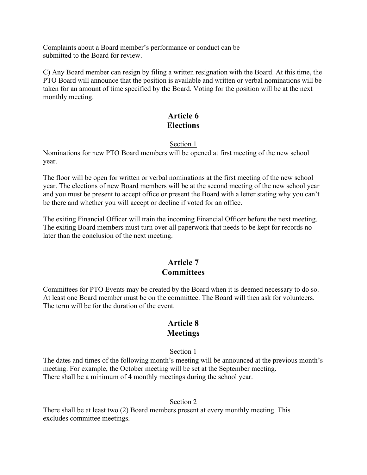Complaints about a Board member's performance or conduct can be submitted to the Board for review.

C) Any Board member can resign by filing a written resignation with the Board. At this time, the PTO Board will announce that the position is available and written or verbal nominations will be taken for an amount of time specified by the Board. Voting for the position will be at the next monthly meeting.

# **Article 6 Elections**

### Section 1

Nominations for new PTO Board members will be opened at first meeting of the new school year.

The floor will be open for written or verbal nominations at the first meeting of the new school year. The elections of new Board members will be at the second meeting of the new school year and you must be present to accept office or present the Board with a letter stating why you can't be there and whether you will accept or decline if voted for an office.

The exiting Financial Officer will train the incoming Financial Officer before the next meeting. The exiting Board members must turn over all paperwork that needs to be kept for records no later than the conclusion of the next meeting.

# **Article 7 Committees**

Committees for PTO Events may be created by the Board when it is deemed necessary to do so. At least one Board member must be on the committee. The Board will then ask for volunteers. The term will be for the duration of the event.

### **Article 8 Meetings**

### Section 1

The dates and times of the following month's meeting will be announced at the previous month's meeting. For example, the October meeting will be set at the September meeting. There shall be a minimum of 4 monthly meetings during the school year.

### Section 2

There shall be at least two (2) Board members present at every monthly meeting. This excludes committee meetings.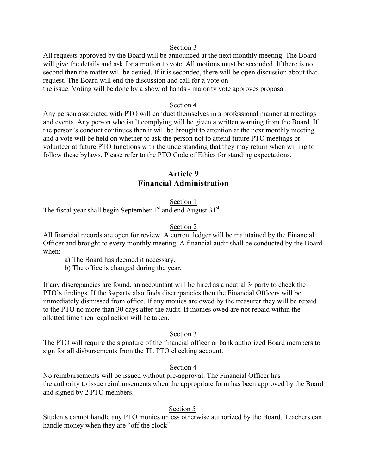#### Section 3

All requests approved by the Board will be announced at the next monthly meeting. The Board will give the details and ask for a motion to vote. All motions must be seconded. If there is no second then the matter will be denied. If it is seconded, there will be open discussion about that request. The Board will end the discussion and call for a vote on

the issue. Voting will be done by a show of hands - majority vote approves proposal.

#### Section 4

Any person associated with PTO will conduct themselves in a professional manner at meetings and events. Any person who isn't complying will be given a written warning from the Board. If the person's conduct continues then it will be brought to attention at the next monthly meeting and a vote will be held on whether to ask the person not to attend future PTO meetings or volunteer at future PTO functions with the understanding that they may return when willing to follow these bylaws. Please refer to the PTO Code of Ethics for standing expectations.

# **Article 9 Financial Administration**

#### Section 1

The fiscal year shall begin September  $1<sup>st</sup>$  and end August 31 $<sup>st</sup>$ .</sup>

#### Section 2

All financial records are open for review. A current ledger will be maintained by the Financial Officer and brought to every monthly meeting. A financial audit shall be conducted by the Board when:

a) The Board has deemed it necessary.

b) The office is changed during the year.

If any discrepancies are found, an accountant will be hired as a neutral  $3<sup>d</sup>$  party to check the PTO's findings. If the 3rd party also finds discrepancies then the Financial Officers will be immediately dismissed from office. If any monies are owed by the treasurer they will be repaid to the PTO no more than 30 days after the audit. If monies owed are not repaid within the allotted time then legal action will be taken.

#### Section 3

The PTO will require the signature of the financial officer or bank authorized Board members to sign for all disbursements from the TL PTO checking account.

#### Section 4

No reimbursements will be issued without pre-approval. The Financial Officer has the authority to issue reimbursements when the appropriate form has been approved by the Board and signed by 2 PTO members.

#### Section 5

Students cannot handle any PTO monies unless otherwise authorized by the Board. Teachers can handle money when they are "off the clock".